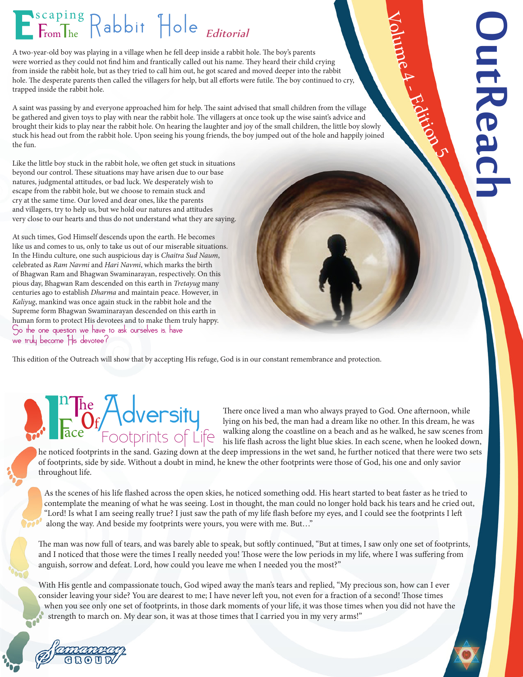## E<sup>scaping</sup> Rabbit Hole Editorial

A two-year-old boy was playing in a village when he fell deep inside a rabbit hole. The boy's parents were worried as they could not find him and frantically called out his name. They heard their child crying from inside the rabbit hole, but as they tried to call him out, he got scared and moved deeper into the rabbit hole. The desperate parents then called the villagers for help, but all efforts were futile. The boy continued to cry, trapped inside the rabbit hole.

A saint was passing by and everyone approached him for help. The saint advised that small children from the village be gathered and given toys to play with near the rabbit hole. The villagers at once took up the wise saint's advice and brought their kids to play near the rabbit hole. On hearing the laughter and joy of the small children, the little boy slowly stuck his head out from the rabbit hole. Upon seeing his young friends, the boy jumped out of the hole and happily joined the fun.

Like the little boy stuck in the rabbit hole, we often get stuck in situations beyond our control. These situations may have arisen due to our base natures, judgmental attitudes, or bad luck. We desperately wish to escape from the rabbit hole, but we choose to remain stuck and cry at the same time. Our loved and dear ones, like the parents and villagers, try to help us, but we hold our natures and attitudes very close to our hearts and thus do not understand what they are saying.

At such times, God Himself descends upon the earth. He becomes like us and comes to us, only to take us out of our miserable situations. In the Hindu culture, one such auspicious day is *Chaitra Sud Naum*, celebrated as *Ram Navmi* and *Hari Navmi*, which marks the birth of Bhagwan Ram and Bhagwan Swaminarayan, respectively. On this pious day, Bhagwan Ram descended on this earth in *Tretayug* many centuries ago to establish *Dharma* and maintain peace. However, in *Kaliyug*, mankind was once again stuck in the rabbit hole and the Supreme form Bhagwan Swaminarayan descended on this earth in human form to protect His devotees and to make them truly happy. So the one question we have to ask ourselves is, have we truly become His devotee?

This edition of the Outreach will show that by accepting His refuge, God is in our constant remembrance and protection.

# n

The Term of Life There once lived a man who always prayed to God. One afternoon, while<br>There once lived a man who always prayed to God. One afternoon, while<br>The The The The The The The The Theorem is bed, the man had a dre lying on his bed, the man had a dream like no other. In this dream, he was walking along the coastline on a beach and as he walked, he saw scenes from his life flash across the light blue skies. In each scene, when he looked down,

Volume

 $\blacktriangleright$ 

- Edition 5

OutReach**JutReach** 

he noticed footprints in the sand. Gazing down at the deep impressions in the wet sand, he further noticed that there were two sets of footprints, side by side. Without a doubt in mind, he knew the other footprints were those of God, his one and only savior throughout life.

 As the scenes of his life flashed across the open skies, he noticed something odd. His heart started to beat faster as he tried to contemplate the meaning of what he was seeing. Lost in thought, the man could no longer hold back his tears and he cried out, "Lord! Is what I am seeing really true? I just saw the path of my life flash before my eyes, and I could see the footprints I left along the way. And beside my footprints were yours, you were with me. But…"

The man was now full of tears, and was barely able to speak, but softly continued, "But at times, I saw only one set of footprints, and I noticed that those were the times I really needed you! Those were the low periods in my life, where I was suffering from anguish, sorrow and defeat. Lord, how could you leave me when I needed you the most?"

With His gentle and compassionate touch, God wiped away the man's tears and replied, "My precious son, how can I ever consider leaving your side? You are dearest to me; I have never left you, not even for a fraction of a second! Those times when you see only one set of footprints, in those dark moments of your life, it was those times when you did not have the strength to march on. My dear son, it was at those times that I carried you in my very arms!"